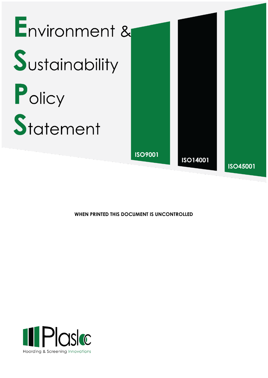

**WHEN PRINTED THIS DOCUMENT IS UNCONTROLLED**

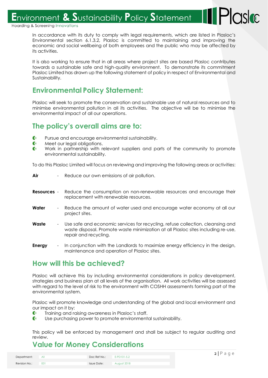Environment & Sustainability Policy Statement

Hoarding & Screening Innovations

In accordance with its duty to comply with legal requirements, which are listed in Plasloc's Environmental section 6.1.3.2, Plasloc is committed to maintaining and improving the economic and social wellbeing of both employees and the public who may be affected by its activities.

It is also working to ensure that in all areas where project sites are based Plasloc contributes towards a sustainable safe and high-quality environment. To demonstrate its commitment Plasloc Limited has drawn up the following statement of policy in respect of Environmental and Sustainability.

## **Environmental Policy Statement:**

Plasloc will seek to promote the conservation and sustainable use of natural resources and to minimise environmental pollution in all its activities. The objective will be to minimise the environmental impact of all our operations.

#### **The policy's overall aims are to:**

- $\bigcirc$ Pursue and encourage environmental sustainability.
- $\bigcirc$ Meet our legal obligations.
- $\mathbf{C}$ Work in partnership with relevant suppliers and parts of the community to promote environmental sustainability.

To do this Plasloc Limited will focus on reviewing and improving the following areas or activities:

- **Air** Reduce our own emissions of air pollution.
- **Resources** Reduce the consumption on non-renewable resources and encourage their replacement with renewable resources.
- **Water** Reduce the amount of water used and encourage water economy at all our project sites.
- **Waste** Use safe and economic services for recycling, refuse collection, cleansing and waste disposal. Promote waste minimization at all Plasloc sites including re-use, repair and recycling.
- **Energy** In conjunction with the Landlords to maximize energy efficiency in the design, maintenance and operation of Plasloc sites.

### **How will this be achieved?**

Plasloc will achieve this by including environmental considerations in policy development, strategies and business plan at all levels of the organisation. All work activities will be assessed with regard to the level of risk to the environment with COSHH assessments forming part of the environmental system.

Plasloc will promote knowledge and understanding of the global and local environment and our impact on it by:

- $\blacksquare$ Training and raising awareness in Plasloc's staff.
- $\mathbf C$ Use purchasing power to promote environmental sustainability.

This policy will be enforced by management and shall be subject to regular auditing and review.

# **Value for Money Considerations**

| Department:   | All | Doc Ref No.: | F-PD101-5.2 |
|---------------|-----|--------------|-------------|
|               |     |              |             |
| Revision No.: |     | Issue Date:  | August 2018 |